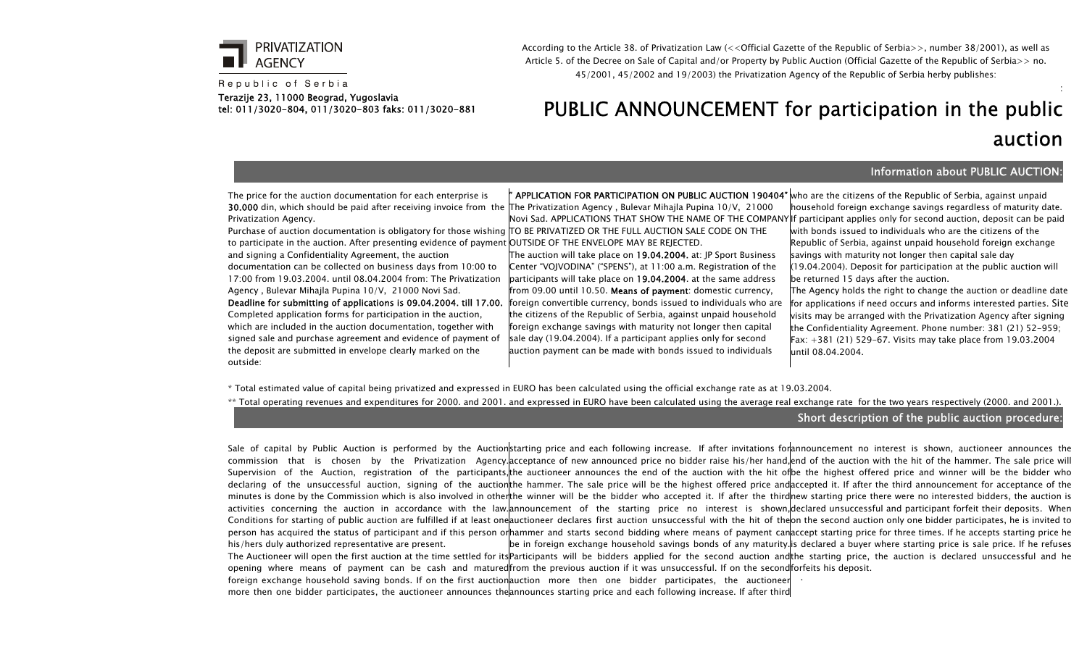

Republic of Serbia

Terazije 23, 11000 Beograd, Yugoslavia tel: 011/3020-804, 011/3020-803 faks: 011/3020-881 According to the Article 38. of Privatization Law (<<Official Gazette of the Republic of Serbia>>, number 38/2001), as well as Article 5. of the Decree on Sale of Capital and/or Property by Public Auction (Official Gazette of the Republic of Serbia>> no. 45/2001, 45/2002 and 19/2003) the Privatization Agency of the Republic of Serbia herby publishes:

## PUBLIC ANNOUNCEMENT for participation in the public auction

## Information about PUBLIC AUCTION:

:

The price for the auction documentation for each enterprise is 30.000 din, which should be paid after receiving invoice from the The Privatization Agency , Bulevar Mihajla Pupina 10/V, 21000 Privatization Agency.

Purchase of auction documentation is obligatory for those wishing TO BE PRIVATIZED OR THE FULL AUCTION SALE CODE ON THE to participate in the auction. After presenting evidence of payment OUTSIDE OF THE ENVELOPE MAY BE REJECTED. and signing a Confidentiality Agreement, the auction documentation can be collected on business days from 10:00 to 17:00 from 19.03.2004. until 08.04.2004 from: The Privatization Agency , Bulevar Mihajla Pupina 10/V, 21000 Novi Sad.

**Deadline for submitting of applications is 09.04.2004. till 17.00.** |foreign convertible currency, bonds issued to individuals who are Completed application forms for participation in the auction, which are included in the auction documentation, together with signed sale and purchase agreement and evidence of payment of the deposit are submitted in envelope clearly marked on the outside:

**" APPLICATION FOR PARTICIPATION ON PUBLIC AUCTION 190404"** who are the citizens of the Republic of Serbia, against unpaid

The auction will take place on 19.04.2004. at: JP Sport Business Center "VOJVODINA" ("SPENS"), at 11:00 a.m. Registration of the participants will take place on 19.04.2004. at the same address from 09.00 until 10.50. Means of payment: domestic currency, the citizens of the Republic of Serbia, against unpaid household foreign exchange savings with maturity not longer then capital sale day (19.04.2004). If a participant applies only for second auction payment can be made with bonds issued to individuals

Novi Sad. APPLICATIONS THAT SHOW THE NAME OF THE COMPANY If participant applies only for second auction, deposit can be paid household foreign exchange savings regardless of maturity date. with bonds issued to individuals who are the citizens of the Republic of Serbia, against unpaid household foreign exchange savings with maturity not longer then capital sale day (19.04.2004). Deposit for participation at the public auction will be returned 15 days after the auction.

The Agency holds the right to change the auction or deadline date for applications if need occurs and informs interested parties. Site visits may be arranged with the Privatization Agency after signing the Confidentiality Agreement. Phone number: 381 (21) 52-959; Fax: +381 (21) 529-67. Visits may take place from 19.03.2004 until 08.04.2004.

\* Total estimated value of capital being privatized and expressed in EURO has been calculated using the official exchange rate as at 19.03.2004.

\*\* Total operating revenues and expenditures for 2000. and 2001. and expressed in EURO have been calculated using the average real exchange rate for the two years respectively (2000. and 2001.).

## Short description of the public auction procedure:

Sale of capital by Public Auction is performed by the Auctionstarting price and each following increase. If after invitations forannouncement no interest is shown, auctioneer announces the commission that is chosen by the Privatization Agency.acceptance of new announced price no bidder raise his/her hand,end of the auction with the hit of the hammer. The sale price will Supervision of the Auction, registration of the participants,¦the auctioneer announces the end of the auction with the hit of|be the highest offered price and winner will be the bidder who declaring of the unsuccessful auction, signing of the auctionthe hammer. The sale price will be the highest offered price andaccepted it. If after the third announcement for acceptance of the minutes is done by the Commission which is also involved in otherthe winner will be the bidder who accepted it. If after the thirdhew starting price there were no interested bidders, the auction is activities concerning the auction in accordance with the law. announcement of the starting price no interest is shown, declared unsuccessful and participant-forfeit their deposits. When Conditions for starting of public auction are fulfilled if at least one auctioneer declares first auction unsuccessful with the hit of the on the second auction only one bidder participates, he is invited to person has acquired the status of participant and if this person or|hammer and starts second bidding where means of payment canaccept starting price for three times. If he accepts starting price he his/hers duly authorized representative are present. The Auctioneer will open the first auction at the time settled for its|Participants will be bidders applied for the second auction and|the starting price, the auction is declared unsuccessful and he opening where means of payment can be cash and matured|from the previous auction if it was unsuccessful. If on the second|forfeits his deposit. foreign exchange household saving bonds. If on the first auction auction more then one bidder participates, the auctioneer  $\vert\,\cdot\,\cdot\,\vert$ be in foreign exchange household savings bonds of any maturity.Is declared a buyer where starting price is sale price. If he refuses

more then one bidder participates, the auctioneer announces the announces starting price and each following increase. If after third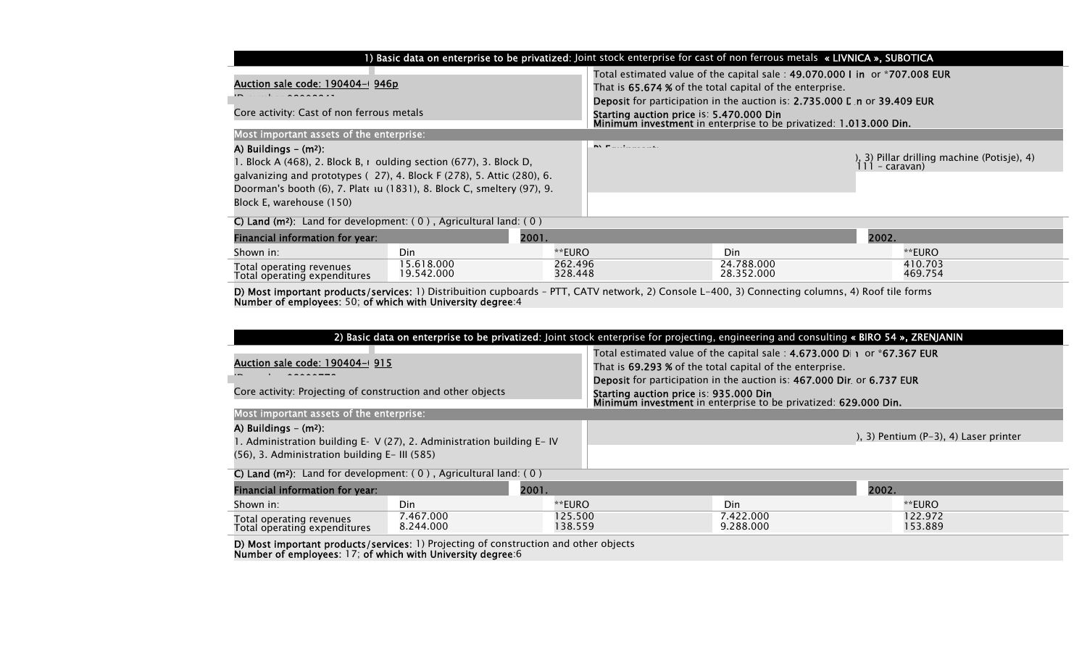| 1) Basic data on enterprise to be privatized: Joint stock enterprise for cast of non ferrous metals « LIVNICA », SUBOTICA                                                                                                                                                                |                          |                                                                                                                                                                                                                                   |                                          |                                                                                                                                                                                                                           |                                                               |                    |
|------------------------------------------------------------------------------------------------------------------------------------------------------------------------------------------------------------------------------------------------------------------------------------------|--------------------------|-----------------------------------------------------------------------------------------------------------------------------------------------------------------------------------------------------------------------------------|------------------------------------------|---------------------------------------------------------------------------------------------------------------------------------------------------------------------------------------------------------------------------|---------------------------------------------------------------|--------------------|
| Auction sale code: 190404-0 946p                                                                                                                                                                                                                                                         |                          |                                                                                                                                                                                                                                   |                                          | Total estimated value of the capital sale: 49.070.000 I in or *707.008 EUR<br>That is 65.674 % of the total capital of the enterprise.<br><b>Deposit</b> for participation in the auction is: 2.735.000 L n or 39.409 EUR |                                                               |                    |
| Core activity: Cast of non ferrous metals                                                                                                                                                                                                                                                |                          |                                                                                                                                                                                                                                   | Starting auction price is: 5.470.000 Din | Minimum investment in enterprise to be privatized: 1.013.000 Din.                                                                                                                                                         |                                                               |                    |
| Most important assets of the enterprise:                                                                                                                                                                                                                                                 |                          |                                                                                                                                                                                                                                   |                                          |                                                                                                                                                                                                                           |                                                               |                    |
| A) Buildings $-$ (m <sup>2</sup> ):<br>1. Block A (468), 2. Block B, r oulding section (677), 3. Block D,<br>galvanizing and prototypes (27), 4. Block F (278), 5. Attic (280), 6.<br>Doorman's booth (6), 7. Plate tu (1831), 8. Block C, smeltery (97), 9.<br>Block E, warehouse (150) |                          | <b>INV Construction</b> of the project of the second second to the second second to the second second second to the second second second second second second second second second second second second second second second seco |                                          |                                                                                                                                                                                                                           | ), 3) Pillar drilling machine (Potisje), 4)<br>111 - caravan) |                    |
| C) Land ( $m^2$ ): Land for development: $(0)$ , Agricultural land: $(0)$                                                                                                                                                                                                                |                          |                                                                                                                                                                                                                                   |                                          |                                                                                                                                                                                                                           |                                                               |                    |
| Financial information for year:                                                                                                                                                                                                                                                          |                          | 2001.                                                                                                                                                                                                                             |                                          |                                                                                                                                                                                                                           | 2002.                                                         |                    |
| Shown in:                                                                                                                                                                                                                                                                                | Din                      | **EURO                                                                                                                                                                                                                            |                                          | Din.                                                                                                                                                                                                                      |                                                               | **EURO             |
| Total operating revenues<br>Total operating expenditures                                                                                                                                                                                                                                 | 15.618.000<br>19.542.000 | 262.496<br>328.448                                                                                                                                                                                                                |                                          | 24.788.000<br>28.352.000                                                                                                                                                                                                  |                                                               | 410.703<br>469.754 |

**D) Most important products/services**: 1) Distribuition cupboards - PTT, CATV network, 2) Console L-400, 3) Connecting columns, 4) Roof tile forms Number of employees: 50; of which with University degree:4

| 2) Basic data on enterprise to be privatized: Joint stock enterprise for projecting, engineering and consulting « BIRO 54 », ZRENJANIN                         |                                                                                                                        |                                                                                                                                                                                                                          |  |                        |                                             |                    |
|----------------------------------------------------------------------------------------------------------------------------------------------------------------|------------------------------------------------------------------------------------------------------------------------|--------------------------------------------------------------------------------------------------------------------------------------------------------------------------------------------------------------------------|--|------------------------|---------------------------------------------|--------------------|
| <u>Auction sale code: 190404-0 915</u>                                                                                                                         |                                                                                                                        | Total estimated value of the capital sale : $4.673.000$ D  1 or *67.367 EUR<br>That is <b>69.293 %</b> of the total capital of the enterprise.<br>Deposit for participation in the auction is: 467.000 Dir. or 6.737 EUR |  |                        |                                             |                    |
| Core activity: Projecting of construction and other objects                                                                                                    |                                                                                                                        | Starting auction price is: 935.000 Din<br>Minimum investment in enterprise to be privatized: 629.000 Din.                                                                                                                |  |                        |                                             |                    |
| Most important assets of the enterprise:                                                                                                                       |                                                                                                                        |                                                                                                                                                                                                                          |  |                        |                                             |                    |
| A) Buildings $-$ (m <sup>2</sup> ):<br>I. Administration building E- V (27), 2. Administration building E– IV<br>(56), 3. Administration building E- III (585) |                                                                                                                        |                                                                                                                                                                                                                          |  |                        | $(1, 3)$ Pentium $(P-3)$ , 4) Laser printer |                    |
| C) Land ( $m^2$ ): Land for development: (0), Agricultural land: (0)                                                                                           |                                                                                                                        |                                                                                                                                                                                                                          |  |                        |                                             |                    |
| 2001.<br>Financial information for year:                                                                                                                       |                                                                                                                        |                                                                                                                                                                                                                          |  | 2002.                  |                                             |                    |
| Shown in:                                                                                                                                                      | Din                                                                                                                    | **EURO                                                                                                                                                                                                                   |  | Din                    |                                             | **EURO             |
| Total operating revenues<br>Total operating expenditures                                                                                                       | 7.467.000<br>8.244.000                                                                                                 | 125.500<br>138.559                                                                                                                                                                                                       |  | 7.422.000<br>9.288.000 |                                             | 122.972<br>153.889 |
|                                                                                                                                                                | <b>FAN Ba</b> landa badan dan badan badan badan badan 1970 dan badan 1970 dan badan badan badan badan badan badan bada |                                                                                                                                                                                                                          |  |                        |                                             |                    |

D) Most important products/services: 1) Projecting of construction and other objects Number of employees: 17; of which with University degree:6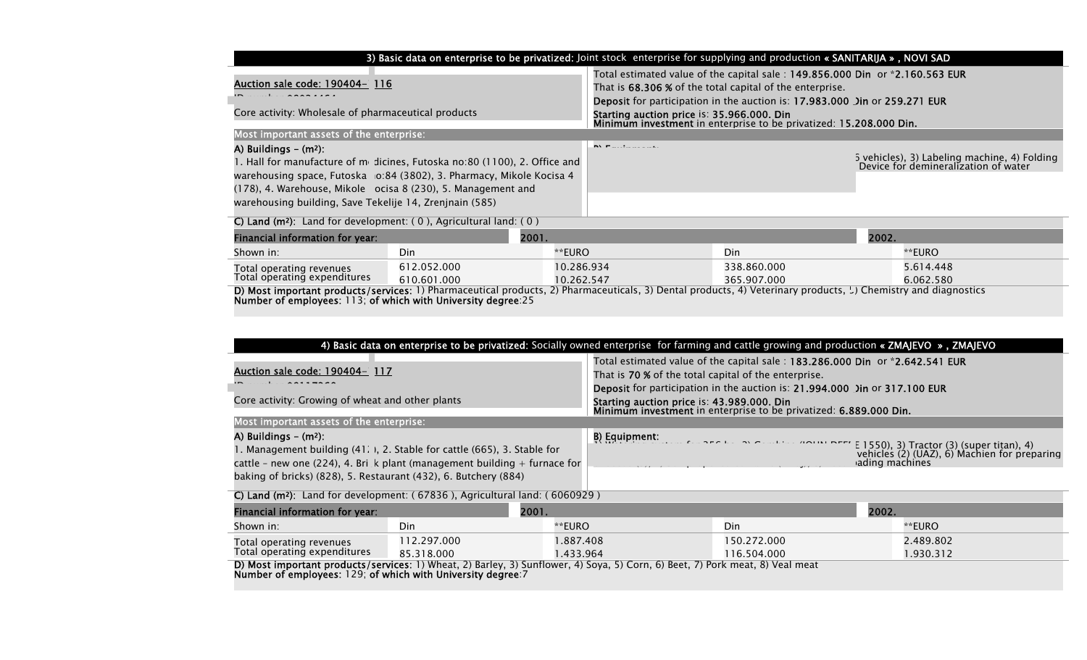| 3) Basic data on enterprise to be privatized: Joint stock enterprise for supplying and production « SANITARIJA », NOVI SAD                                                                                                                                                                                                                                           |                            |                                                                                                                                                                                                       |                                                                                                                                                                                                                                                                                                                                                          |                        |  |
|----------------------------------------------------------------------------------------------------------------------------------------------------------------------------------------------------------------------------------------------------------------------------------------------------------------------------------------------------------------------|----------------------------|-------------------------------------------------------------------------------------------------------------------------------------------------------------------------------------------------------|----------------------------------------------------------------------------------------------------------------------------------------------------------------------------------------------------------------------------------------------------------------------------------------------------------------------------------------------------------|------------------------|--|
| Auction sale code: 190404- 116<br>Core activity: Wholesale of pharmaceutical products                                                                                                                                                                                                                                                                                |                            |                                                                                                                                                                                                       | Total estimated value of the capital sale: 149.856.000 Din or *2.160.563 EUR<br>That is 68.306 % of the total capital of the enterprise.<br><b>Deposit</b> for participation in the auction is: 17.983.000 Jin or 259.271 EUR<br>Starting auction price is: 35.966.000. Din<br><b>Minimum investment</b> in enterprise to be privatized: 15.208.000 Din. |                        |  |
| Most important assets of the enterprise:<br>A) Buildings $-$ (m <sup>2</sup> ):<br>1. Hall for manufacture of $m_1$ dicines, Futoska no:80 (1100), 2. Office and<br>warehousing space, Futoska 10:84 (3802), 3. Pharmacy, Mikole Kocisa 4<br>(178), 4. Warehouse, Mikole ocisa 8 (230), 5. Management and<br>warehousing building, Save Tekelije 14, Zrenjnain (585) |                            | <b>INVESTIGATION</b> CONTINUES.                                                                                                                                                                       | 5 vehicles), 3) Labeling machine, 4) Folding<br>Device for demineralization of water                                                                                                                                                                                                                                                                     |                        |  |
| C) Land ( $m^2$ ): Land for development: (0), Agricultural land: (0)                                                                                                                                                                                                                                                                                                 |                            |                                                                                                                                                                                                       |                                                                                                                                                                                                                                                                                                                                                          |                        |  |
| Financial information for year:                                                                                                                                                                                                                                                                                                                                      | 2001.                      |                                                                                                                                                                                                       |                                                                                                                                                                                                                                                                                                                                                          | 2002.                  |  |
| Shown in:                                                                                                                                                                                                                                                                                                                                                            | Din                        | **EURO                                                                                                                                                                                                | <b>Din</b>                                                                                                                                                                                                                                                                                                                                               | **EURO                 |  |
| Total operating revenues<br>Total operating expenditures<br>Number of employees: 113; of which with University degree:25                                                                                                                                                                                                                                             | 612.052.000<br>610.601.000 | 10.286.934<br>10.262.547<br>D) Most important products/services: 1) Pharmaceutical products, 2) Pharmaceuticals, 3) Dental products, 4) Veterinary products, $\downarrow$ ) Chemistry and diagnostics | 338.860.000<br>365.907.000                                                                                                                                                                                                                                                                                                                               | 5.614.448<br>6.062.580 |  |

|                                                                                                                                                                                                                                                                                                                                                     | 4) Basic data on enterprise to be privatized: Socially owned enterprise for farming and cattle growing and production « ZMAJEVO », ZMAJEVO |                                                                                                                                                                                               |               |                |                |                                                                                           |
|-----------------------------------------------------------------------------------------------------------------------------------------------------------------------------------------------------------------------------------------------------------------------------------------------------------------------------------------------------|--------------------------------------------------------------------------------------------------------------------------------------------|-----------------------------------------------------------------------------------------------------------------------------------------------------------------------------------------------|---------------|----------------|----------------|-------------------------------------------------------------------------------------------|
| <u>Auction sale code: 190404- 117</u><br>Core activity: Growing of wheat and other plants                                                                                                                                                                                                                                                           |                                                                                                                                            | Total estimated value of the capital sale: 183.286.000 Din or *2.642.541 EUR<br>That is 70 % of the total capital of the enterprise.                                                          |               |                |                |                                                                                           |
|                                                                                                                                                                                                                                                                                                                                                     |                                                                                                                                            | Deposit for participation in the auction is: 21.994.000 Jin or 317.100 EUR<br>Starting auction price is: 43.989.000. Din<br>Minimum investment in enterprise to be privatized: 6.889.000 Din. |               |                |                |                                                                                           |
| Most important assets of the enterprise:                                                                                                                                                                                                                                                                                                            |                                                                                                                                            |                                                                                                                                                                                               |               |                |                |                                                                                           |
| A) Buildings $-$ (m <sup>2</sup> ):<br>1. Management building (41. ), 2. Stable for cattle (665), 3. Stable for<br>cattle - new one (224), 4. Brigk plant (management building $+$ furnace for<br>baking of bricks) (828), 5. Restaurant (432), 6. Butchery (884)<br>C) Land ( $m^2$ ): Land for development: (67836), Agricultural land: (6060929) |                                                                                                                                            |                                                                                                                                                                                               | B) Equipment: | $\overline{1}$ | ading machines | E 1550), 3) Tractor (3) (super titan), 4)<br>vehicles (2) (UAZ), 6) Machien for preparing |
| Financial information for year:                                                                                                                                                                                                                                                                                                                     |                                                                                                                                            | 2001.                                                                                                                                                                                         |               |                | 2002.          |                                                                                           |
| Shown in:                                                                                                                                                                                                                                                                                                                                           | Din                                                                                                                                        | **EURO                                                                                                                                                                                        |               | Din            |                | **EURO                                                                                    |
| Total operating revenues                                                                                                                                                                                                                                                                                                                            | 112.297.000                                                                                                                                | .887.408                                                                                                                                                                                      |               | 150.272.000    |                | 2.489.802                                                                                 |
| Total operating expenditures                                                                                                                                                                                                                                                                                                                        | 85.318.000                                                                                                                                 | 1.433.964                                                                                                                                                                                     |               | 116.504.000    |                | 1.930.312                                                                                 |
| D) Most important products/services: 1) Wheat, 2) Barley, 3) Sunflower, 4) Soya, 5) Corn, 6) Beet, 7) Pork meat, 8) Veal meat<br>Number of amployees 120; of which with University degree 7                                                                                                                                                         |                                                                                                                                            |                                                                                                                                                                                               |               |                |                |                                                                                           |

Number of employees: 129; of which with University degree:7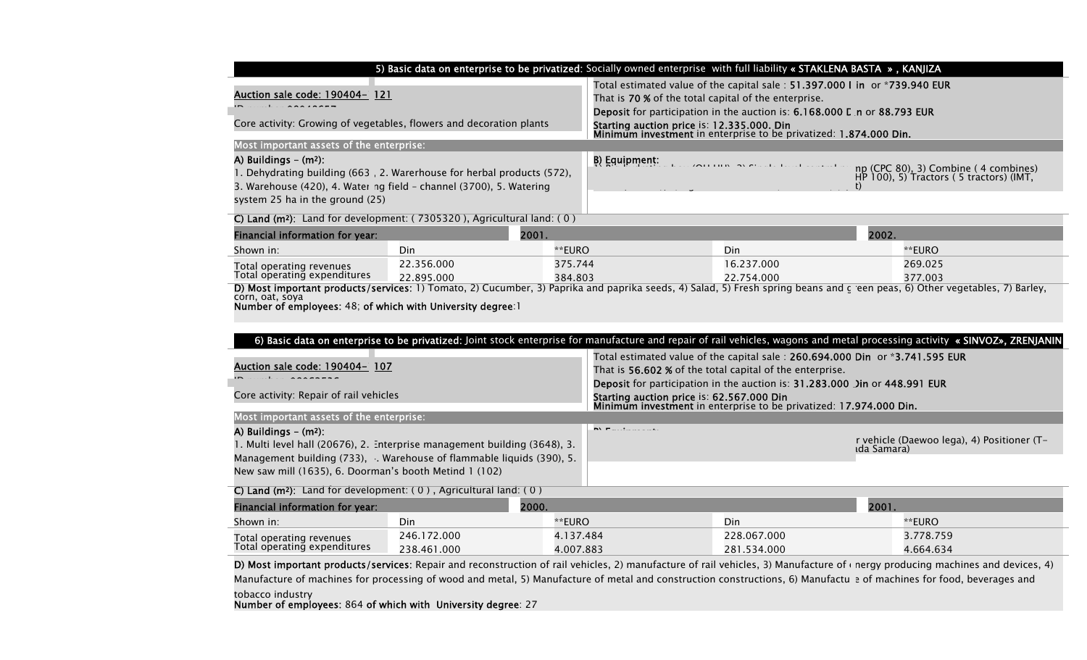|                                                                                                                                                                                            | 5) Basic data on enterprise to be privatized: Socially owned enterprise with full liability « STAKLENA BASTA », KANJIZA                                                                                        |
|--------------------------------------------------------------------------------------------------------------------------------------------------------------------------------------------|----------------------------------------------------------------------------------------------------------------------------------------------------------------------------------------------------------------|
| <u>Auction sale code: 190404- 121</u>                                                                                                                                                      | Total estimated value of the capital sale: 51.397.000 I in or *739.940 EUR<br>That is 70 % of the total capital of the enterprise.<br>Deposit for participation in the auction is: 6.168.000 L n or 88.793 EUR |
| Core activity: Growing of vegetables, flowers and decoration plants                                                                                                                        | Starting auction price is: 12.335.000. Din<br>Minimum investment in enterprise to be privatized: 1.874.000 Din.                                                                                                |
| Most important assets of the enterprise:                                                                                                                                                   |                                                                                                                                                                                                                |
| A) Buildings $-$ (m <sup>2</sup> ):<br>1. Dehydrating building (663, 2. Warerhouse for herbal products (572),<br>3. Warehouse $(420)$ , 4. Water ng field – channel $(3700)$ , 5. Watering | B) Equipment:<br>np (CPC 80), 3) Combine (4 combines)<br>HP 100), 5) Tractors (5 tractors) (IMT,                                                                                                               |
| system 25 ha in the ground (25)                                                                                                                                                            |                                                                                                                                                                                                                |
| C) Land ( $m^2$ ): Land for development: ( $7305320$ ), Agricultural land: (0)                                                                                                             |                                                                                                                                                                                                                |
| Financial information for year:<br>2001.                                                                                                                                                   | 2002.                                                                                                                                                                                                          |

| <b>Financial information for year:</b> | 2001.      |                                                                                                                                                                           | 2002.      |         |
|----------------------------------------|------------|---------------------------------------------------------------------------------------------------------------------------------------------------------------------------|------------|---------|
| Shown in:                              | Din        | **EURO                                                                                                                                                                    | Din        | **EURO  |
| Total operating revenues               | 22.356.000 | 375.744                                                                                                                                                                   | 16.237.000 | 269.025 |
| Total operating expenditures           | 22.895.000 | 384.803                                                                                                                                                                   | 22.754.000 | 377.003 |
|                                        |            | D) Most important products (senices: 1) Tomato 2) Cusumber, 3) Paprika and paprika seeds. 4) Salad, 5) Fresh spring beans and clean pease, 6) Other vegetables. 7) Barley |            |         |

**ervices:** 1) Tomato, 2) Cucumber, 3) Paprika and paprika seeds, 4) Salad, 5) Fresh spring beans and green peas, 6) Other vegetables, 7) Barley, corn, oat, soya Number of employees: 48; of which with University degree:1

| 6) Basic data on enterprise to be privatized: Joint stock enterprise for manufacture and repair of rail vehicles, wagons and metal processing activity « SINVOZ», ZRENJANIN                                                                                                                                                               |  |  |  |  |  |
|-------------------------------------------------------------------------------------------------------------------------------------------------------------------------------------------------------------------------------------------------------------------------------------------------------------------------------------------|--|--|--|--|--|
| Total estimated value of the capital sale: 260.694.000 Din or *3.741.595 EUR<br>That is 56.602 % of the total capital of the enterprise.<br>Deposit for participation in the auction is: 31.283.000 Jin or 448.991 EUR<br>Starting auction price is: 62.567.000 Din<br>Minimum investment in enterprise to be privatized: 17.974.000 Din. |  |  |  |  |  |
| Most important assets of the enterprise:                                                                                                                                                                                                                                                                                                  |  |  |  |  |  |
| r vehicle (Daewoo lega), 4) Positioner (T-                                                                                                                                                                                                                                                                                                |  |  |  |  |  |
|                                                                                                                                                                                                                                                                                                                                           |  |  |  |  |  |
|                                                                                                                                                                                                                                                                                                                                           |  |  |  |  |  |
|                                                                                                                                                                                                                                                                                                                                           |  |  |  |  |  |
|                                                                                                                                                                                                                                                                                                                                           |  |  |  |  |  |
|                                                                                                                                                                                                                                                                                                                                           |  |  |  |  |  |

D) Most important products/services: Repair and reconstruction of rail vehicles, 2) manufacture of rail vehicles, 3) Manufacture of energy producing machines and devices, 4) Manufacture of machines for processing of wood and metal, 5) Manufacture of metal and construction constructions, 6) Manufactu e of machines for food, beverages and

tobacco industry Number of employees: 864 of which with University degree: 27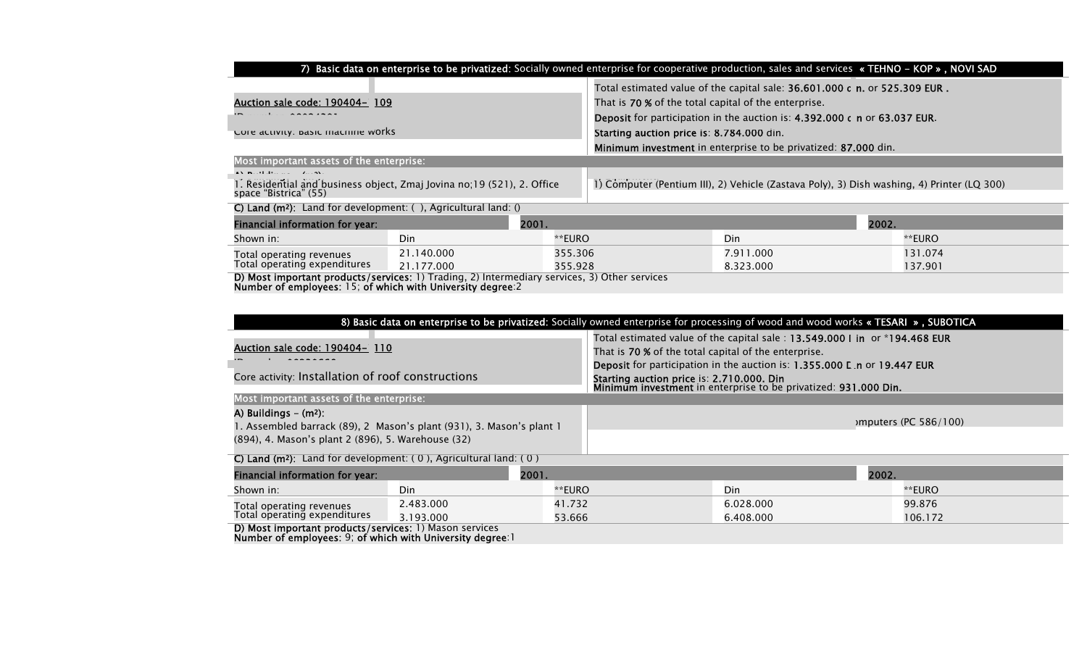|                                                                                                                                                                                                                                       | 7) Basic data on enterprise to be privatized: Socially owned enterprise for cooperative production, sales and services «TEHNO - KOP », NOVI SAD |                                                                                                                                                                                                                 |                                                                                            |                        |                    |
|---------------------------------------------------------------------------------------------------------------------------------------------------------------------------------------------------------------------------------------|-------------------------------------------------------------------------------------------------------------------------------------------------|-----------------------------------------------------------------------------------------------------------------------------------------------------------------------------------------------------------------|--------------------------------------------------------------------------------------------|------------------------|--------------------|
| Auction sale code: 190404- 109                                                                                                                                                                                                        |                                                                                                                                                 | Total estimated value of the capital sale: 36.601.000 c n. or 525.309 EUR.<br>That is 70 % of the total capital of the enterprise.<br>Deposit for participation in the auction is: 4.392.000 c n or 63.037 EUR. |                                                                                            |                        |                    |
| Core activity: basic machine works                                                                                                                                                                                                    |                                                                                                                                                 |                                                                                                                                                                                                                 | Starting auction price is: 8.784.000 din.                                                  |                        |                    |
|                                                                                                                                                                                                                                       |                                                                                                                                                 |                                                                                                                                                                                                                 | Minimum investment in enterprise to be privatized: 87.000 din.                             |                        |                    |
| Most important assets of the enterprise:                                                                                                                                                                                              |                                                                                                                                                 |                                                                                                                                                                                                                 |                                                                                            |                        |                    |
| $\mathbf{A}$ by $\mathbf{B}$ and $\mathbf{B}$ and $\mathbf{B}$ and $\mathbf{B}$ and $\mathbf{A}$ and $\mathbf{A}$ and $\mathbf{A}$<br>1. Residential and business object, Zmaj Jovina no;19 (521), 2. Office<br>space "Bistrica" (55) |                                                                                                                                                 |                                                                                                                                                                                                                 | 1) Computer (Pentium III), 2) Vehicle (Zastava Poly), 3) Dish washing, 4) Printer (LQ 300) |                        |                    |
| C) Land ( $m^2$ ): Land for development: (), Agricultural land: ()                                                                                                                                                                    |                                                                                                                                                 |                                                                                                                                                                                                                 |                                                                                            |                        |                    |
| Financial information for year:                                                                                                                                                                                                       | 2001.                                                                                                                                           |                                                                                                                                                                                                                 |                                                                                            |                        | 2002.              |
| Shown in:                                                                                                                                                                                                                             | Din                                                                                                                                             | **EURO                                                                                                                                                                                                          |                                                                                            | Din                    | **EURO             |
| Total operating revenues<br>Total operating expenditures                                                                                                                                                                              | 21.140.000<br>21.177.000                                                                                                                        | 355.306<br>355.928                                                                                                                                                                                              |                                                                                            | 7.911.000<br>8.323.000 | 131.074<br>137.901 |
| D) Most important products/services: 1) Trading, 2) Intermediary services, 3) Other services<br>Model and $\ell$ and the continuum of the contraction of the contract of the contraction of the contract $\alpha$                     |                                                                                                                                                 |                                                                                                                                                                                                                 |                                                                                            |                        |                    |

Number of employees: 15; of which with University degree:2

| 8) Basic data on enterprise to be privatized: Socially owned enterprise for processing of wood and wood works «TESARI », SUBOTICA |                                                                      |        |                                                                                                                                                                                                                |                      |  |
|-----------------------------------------------------------------------------------------------------------------------------------|----------------------------------------------------------------------|--------|----------------------------------------------------------------------------------------------------------------------------------------------------------------------------------------------------------------|----------------------|--|
| Auction sale code: 190404- 110<br>Core activity: Installation of roof constructions                                               |                                                                      |        | Total estimated value of the capital sale: 13.549.000 I in or *194.468 EUR<br>That is 70 % of the total capital of the enterprise.<br>Deposit for participation in the auction is: 1.355.000 L n or 19.447 EUR |                      |  |
|                                                                                                                                   |                                                                      |        | Starting auction price is: 2.710.000. Din<br>Minimum investment in enterprise to be privatized: 931.000 Din.                                                                                                   |                      |  |
| Most important assets of the enterprise:                                                                                          |                                                                      |        |                                                                                                                                                                                                                |                      |  |
| A) Buildings $-$ (m <sup>2</sup> ):<br>(894), 4. Mason's plant 2 (896), 5. Warehouse (32)                                         | . Assembled barrack (89), 2. Mason's plant (931), 3. Mason's plant 1 |        |                                                                                                                                                                                                                | mputers (PC 586/100) |  |
| C) Land ( $m^2$ ): Land for development: (0), Agricultural land: (0)                                                              |                                                                      |        |                                                                                                                                                                                                                |                      |  |
| Financial information for year:                                                                                                   | 2001.                                                                |        | 2002.                                                                                                                                                                                                          |                      |  |
| Shown in:                                                                                                                         | Din                                                                  | **EURO | Din                                                                                                                                                                                                            | **EURO               |  |
|                                                                                                                                   | 2.483.000                                                            | 41.732 | 6.028.000                                                                                                                                                                                                      | 99.876               |  |
| Total operating revenues<br>Total operating expenditures<br>3.193.000                                                             |                                                                      | 53.666 | 6.408.000                                                                                                                                                                                                      | 106.172              |  |
| D) Most important products/services: 1) Mason services                                                                            |                                                                      |        |                                                                                                                                                                                                                |                      |  |

Number of employees: 9; of which with University degree:1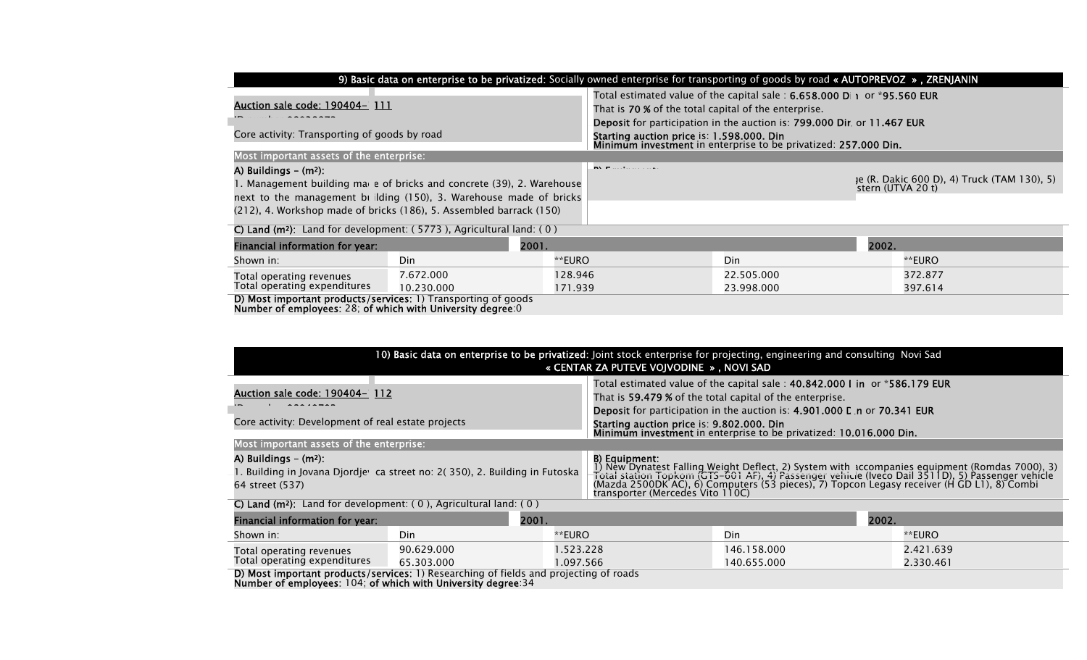|                                                                                                                                                                                                                                                            | 9) Basic data on enterprise to be privatized: Socially owned enterprise for transporting of goods by road « AUTOPREVOZ », ZRENJANIN |                                                                                                                                                |                                                                                                                                                                                                        |                          |       |                                                                  |
|------------------------------------------------------------------------------------------------------------------------------------------------------------------------------------------------------------------------------------------------------------|-------------------------------------------------------------------------------------------------------------------------------------|------------------------------------------------------------------------------------------------------------------------------------------------|--------------------------------------------------------------------------------------------------------------------------------------------------------------------------------------------------------|--------------------------|-------|------------------------------------------------------------------|
| Auction sale code: 190404- 111                                                                                                                                                                                                                             |                                                                                                                                     | Total estimated value of the capital sale : $6.658.000$ D $\rightarrow$ or *95.560 EUR<br>That is 70 % of the total capital of the enterprise. |                                                                                                                                                                                                        |                          |       |                                                                  |
| Core activity: Transporting of goods by road                                                                                                                                                                                                               |                                                                                                                                     |                                                                                                                                                | <b>Deposit</b> for participation in the auction is: <b>799.000 Dir</b> , or 11.467 EUR<br>Starting auction price is: 1.598.000. Din<br>Minimum investment in enterprise to be privatized: 257.000 Din. |                          |       |                                                                  |
| Most important assets of the enterprise:                                                                                                                                                                                                                   |                                                                                                                                     |                                                                                                                                                |                                                                                                                                                                                                        |                          |       |                                                                  |
| A) Buildings $-$ (m <sup>2</sup> ):<br>1. Management building mae e of bricks and concrete (39), 2. Warehouse<br>next to the management building (150), 3. Warehouse made of bricks<br>(212), 4. Workshop made of bricks (186), 5. Assembled barrack (150) |                                                                                                                                     |                                                                                                                                                | <b>INVESTIGATION</b>                                                                                                                                                                                   |                          |       | je (R. Dakic 600 D), 4) Truck (TAM 130), 5)<br>stern (UTVA 20 t) |
|                                                                                                                                                                                                                                                            | C) Land ( $m^2$ ): Land for development: (5773), Agricultural land: (0)                                                             |                                                                                                                                                |                                                                                                                                                                                                        |                          |       |                                                                  |
| 2001.<br>Financial information for year:                                                                                                                                                                                                                   |                                                                                                                                     |                                                                                                                                                |                                                                                                                                                                                                        |                          | 2002. |                                                                  |
| Shown in:                                                                                                                                                                                                                                                  | Din                                                                                                                                 | **EURO                                                                                                                                         |                                                                                                                                                                                                        | Din.                     |       | **EURO                                                           |
| Total operating revenues<br>Total operating expenditures                                                                                                                                                                                                   | 7.672.000<br>10.230.000                                                                                                             | 128.946<br>171.939                                                                                                                             |                                                                                                                                                                                                        | 22.505.000<br>23.998.000 |       | 372.877<br>397.614                                               |

397.614

D) Most important products/services: 1) Transporting of goods Number of employees: 28; of which with University degree:0

| 10) Basic data on enterprise to be privatized: Joint stock enterprise for projecting, engineering and consulting Novi Sad<br>« CENTAR ZA PUTEVE VOJVODINE », NOVI SAD |                                          |                                                                                                                                                                                                                           |                                                                                                                                                                                                                                                                                                                                                       |             |           |
|-----------------------------------------------------------------------------------------------------------------------------------------------------------------------|------------------------------------------|---------------------------------------------------------------------------------------------------------------------------------------------------------------------------------------------------------------------------|-------------------------------------------------------------------------------------------------------------------------------------------------------------------------------------------------------------------------------------------------------------------------------------------------------------------------------------------------------|-------------|-----------|
| Auction sale code: 190404– 112                                                                                                                                        |                                          | Total estimated value of the capital sale: 40.842.000 I in or *586.179 EUR<br>That is 59.479 % of the total capital of the enterprise.<br><b>Deposit</b> for participation in the auction is: 4.901.000 L n or 70.341 EUR |                                                                                                                                                                                                                                                                                                                                                       |             |           |
| Core activity: Development of real estate projects                                                                                                                    |                                          |                                                                                                                                                                                                                           | Starting auction price is: 9.802.000. Din<br>Minimum investment in enterprise to be privatized: 10.016.000 Din.                                                                                                                                                                                                                                       |             |           |
|                                                                                                                                                                       | Most important assets of the enterprise: |                                                                                                                                                                                                                           |                                                                                                                                                                                                                                                                                                                                                       |             |           |
| A) Buildings $-$ (m <sup>2</sup> ):<br>. Building in Jovana Djordjewica street no: 2(350), 2. Building in Futoska<br>64 street (537)                                  |                                          |                                                                                                                                                                                                                           | B) Equipment:<br>1) New Dynatest Falling Weight Deflect, 2) System with accompanies equipment (Romdas 7000), 3)<br>Total station Topkom (GTS–601 AF), 4) Passenger vehicle (Iveco Dail 3511D), 5) Passenger vehicle<br>(Mazda 2500DK AC), 6) Computers (53 pieces), 7) Topcon Legasy receiver (H GD L1), 8) Combi<br>transporter (Mercedes Vito 110C) |             |           |
| C) Land ( $m^2$ ): Land for development: (0), Agricultural land: (0)                                                                                                  |                                          |                                                                                                                                                                                                                           |                                                                                                                                                                                                                                                                                                                                                       |             |           |
| Financial information for year:                                                                                                                                       | 2001.                                    |                                                                                                                                                                                                                           |                                                                                                                                                                                                                                                                                                                                                       |             | 2002.     |
| Shown in:                                                                                                                                                             | Din                                      | **EURO                                                                                                                                                                                                                    |                                                                                                                                                                                                                                                                                                                                                       | Din         | **EURO    |
| Total operating revenues                                                                                                                                              | 90.629.000                               | .523.228                                                                                                                                                                                                                  |                                                                                                                                                                                                                                                                                                                                                       | 146.158.000 | 2.421.639 |
| Total operating expenditures                                                                                                                                          | 65.303.000                               | 1.097.566                                                                                                                                                                                                                 |                                                                                                                                                                                                                                                                                                                                                       | 140.655.000 | 2.330.461 |
| D) Most important products/services: 1) Researching of fields and projecting of roads<br>Number of employees: 104; of which with University degree: 34                |                                          |                                                                                                                                                                                                                           |                                                                                                                                                                                                                                                                                                                                                       |             |           |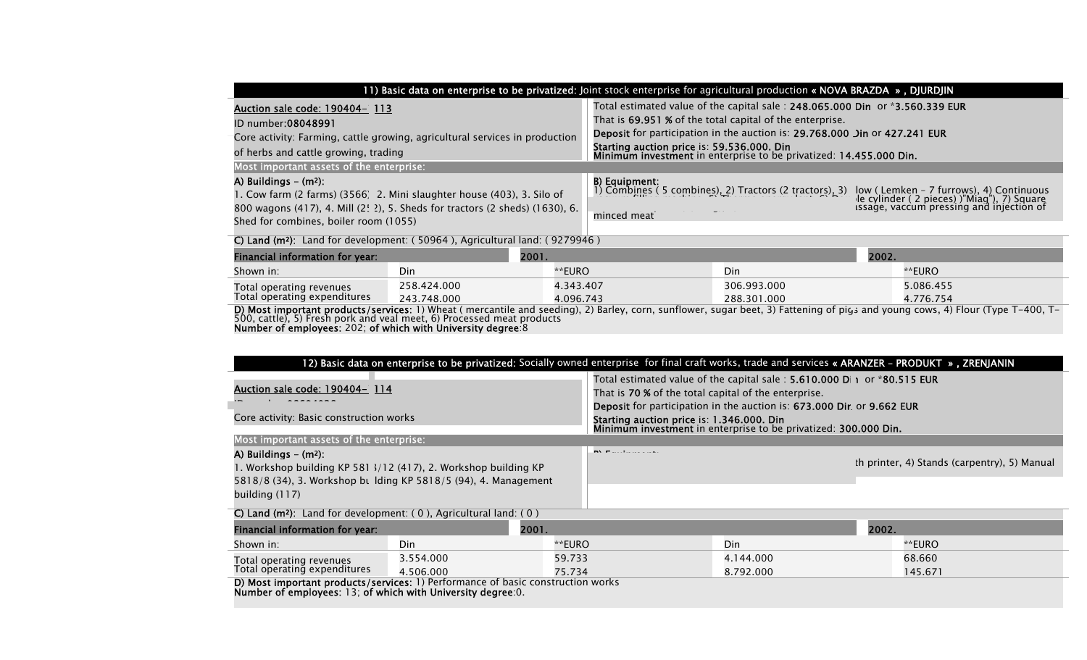|                                                                                                                                                                                                                                        | 11) Basic data on enterprise to be privatized: Joint stock enterprise for agricultural production « NOVA BRAZDA », DJURDJIN                                                                                                                                                                                                                |
|----------------------------------------------------------------------------------------------------------------------------------------------------------------------------------------------------------------------------------------|--------------------------------------------------------------------------------------------------------------------------------------------------------------------------------------------------------------------------------------------------------------------------------------------------------------------------------------------|
| Auction sale code: 190404- 113<br>ID number:08048991<br>Core activity: Farming, cattle growing, agricultural services in production<br>of herbs and cattle growing, trading<br>Most important assets of the enterprise:                | Total estimated value of the capital sale: 248.065.000 Din or *3.560.339 EUR<br>That is 69.951 % of the total capital of the enterprise.<br>Deposit for participation in the auction is: 29.768.000 Jin or 427.241 EUR<br>Starting auction price is: 59.536.000. Din<br>Minimum investment in enterprise to be privatized: 14.455.000 Din. |
| A) Buildings $-$ (m <sup>2</sup> ):<br>1. Cow farm (2 farms) (3566) 2. Mini slaughter house (403), 3. Silo of<br>800 wagons (417), 4. Mill (2! 2), 5. Sheds for tractors (2 sheds) (1630), 6.<br>Shed for combines, boiler room (1055) | <b>B) Equipment:</b><br>1) Combings (5 combines), 2) Tractors (2 tractors), 3) low (Lemken – 7 furrows), 4) Continuous<br>1) Combings (5 combines), 2) Tractors (2 tractors), 3) low (Lemken – 7 furrows), 4) Combines<br>1) Combings (5 co<br>minced meat                                                                                 |

| C) Land ( $m^2$ ): Land for development: (50964), Agricultural land: (9279946)                                                                                                                                                          |             |           |             |           |  |  |  |  |
|-----------------------------------------------------------------------------------------------------------------------------------------------------------------------------------------------------------------------------------------|-------------|-----------|-------------|-----------|--|--|--|--|
| Financial information for year:                                                                                                                                                                                                         |             | 2001.     |             | 2002.     |  |  |  |  |
| Shown in:                                                                                                                                                                                                                               | Din         | **EURO    | Din         | **EURO    |  |  |  |  |
| Total operating revenues<br>Total operating expenditures                                                                                                                                                                                | 258.424.000 | 4.343.407 | 306.993.000 | 5.086.455 |  |  |  |  |
|                                                                                                                                                                                                                                         | 243.748.000 | 4.096.743 | 288.301.000 | 4.776.754 |  |  |  |  |
| <b>D) Most important products/services</b> : 1) Wheat ( mercantile and seeding), 2) Barley, corn, sunflower, sugar beet, 3) Fattening of pigs and young cows, 4) Flour (Type T–400, T–<br>500, cattle), 5) Fresh pork and veal meet, 6) |             |           |             |           |  |  |  |  |

Number of employees: 202; of which with University degree:8

| 12) Basic data on enterprise to be privatized: Socially owned enterprise for final craft works, trade and services « ARANZER - PRODUKT », ZRENJANIN                                           |           |        |                                                                                                                                                                                                                                                                                                                                  |           |       |                                              |  |
|-----------------------------------------------------------------------------------------------------------------------------------------------------------------------------------------------|-----------|--------|----------------------------------------------------------------------------------------------------------------------------------------------------------------------------------------------------------------------------------------------------------------------------------------------------------------------------------|-----------|-------|----------------------------------------------|--|
| Auction sale code: 190404- 114<br>Core activity: Basic construction works                                                                                                                     |           |        | Total estimated value of the capital sale: 5.610.000 D 1 or *80.515 EUR<br>That is 70 % of the total capital of the enterprise.<br><b>Deposit</b> for participation in the auction is: 673.000 Dir. or 9.662 EUR<br>Starting auction price is: 1.346.000. Din<br>Minimum investment in enterprise to be privatized: 300.000 Din. |           |       |                                              |  |
| Most important assets of the enterprise:                                                                                                                                                      |           |        |                                                                                                                                                                                                                                                                                                                                  |           |       |                                              |  |
| A) Buildings $-$ (m <sup>2</sup> ):<br>1. Workshop building KP 581 3/12 (417), 2. Workshop building KP<br>5818/8 (34), 3. Workshop bt Iding KP 5818/5 (94), 4. Management<br>building $(117)$ |           |        | <b>INVESTIGATION</b> CONTINUES.                                                                                                                                                                                                                                                                                                  |           |       | th printer, 4) Stands (carpentry), 5) Manual |  |
| C) Land ( $m^2$ ): Land for development: (0), Agricultural land: (0)                                                                                                                          |           |        |                                                                                                                                                                                                                                                                                                                                  |           |       |                                              |  |
| Financial information for year:                                                                                                                                                               | 2001.     |        |                                                                                                                                                                                                                                                                                                                                  |           | 2002. |                                              |  |
| Shown in:                                                                                                                                                                                     | Din       | **EURO |                                                                                                                                                                                                                                                                                                                                  | Din       |       | **EURO                                       |  |
| Total operating revenues                                                                                                                                                                      | 3.554.000 | 59.733 |                                                                                                                                                                                                                                                                                                                                  | 4.144.000 |       | 68.660                                       |  |
| Total operating expenditures                                                                                                                                                                  | 4.506.000 | 75.734 |                                                                                                                                                                                                                                                                                                                                  | 8.792.000 |       | 145.671                                      |  |
| D) Most important products/services: 1) Performance of basic construction works<br>Number of employees: 13; of which with University degree: 0.                                               |           |        |                                                                                                                                                                                                                                                                                                                                  |           |       |                                              |  |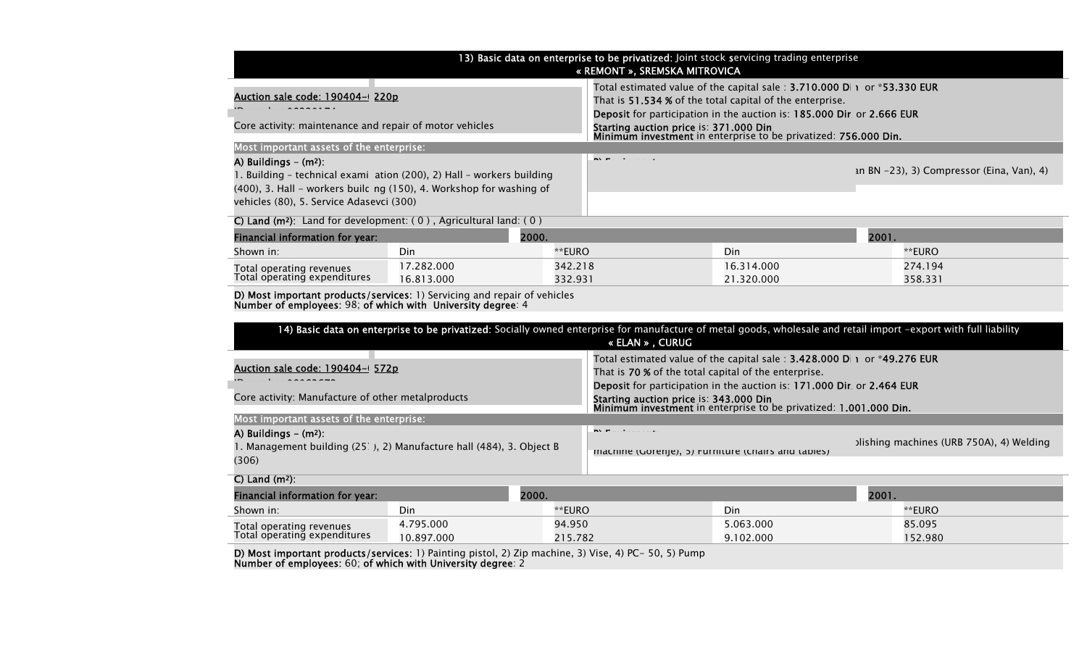|                                                                                                                                         |                                                                                                                                                                  |         |                                                                                                             | 13) Basic data on enterprise to be privatized: Joint stock servicing trading enterprise |       |                                             |
|-----------------------------------------------------------------------------------------------------------------------------------------|------------------------------------------------------------------------------------------------------------------------------------------------------------------|---------|-------------------------------------------------------------------------------------------------------------|-----------------------------------------------------------------------------------------|-------|---------------------------------------------|
|                                                                                                                                         |                                                                                                                                                                  |         | « REMONT », SREMSKA MITROVICA                                                                               |                                                                                         |       |                                             |
|                                                                                                                                         |                                                                                                                                                                  |         |                                                                                                             | Total estimated value of the capital sale: 3.710.000 D  1 or *53.330 EUR                |       |                                             |
| Auction sale code: 190404-(220p                                                                                                         |                                                                                                                                                                  |         |                                                                                                             | That is 51.534 % of the total capital of the enterprise.                                |       |                                             |
|                                                                                                                                         |                                                                                                                                                                  |         |                                                                                                             | Deposit for participation in the auction is: 185.000 Dir. or 2.666 EUR                  |       |                                             |
| Core activity: maintenance and repair of motor vehicles                                                                                 |                                                                                                                                                                  |         | Starting auction price is: 371.000 Din                                                                      | Minimum investment in enterprise to be privatized: 756.000 Din.                         |       |                                             |
| Most important assets of the enterprise:                                                                                                |                                                                                                                                                                  |         |                                                                                                             |                                                                                         |       |                                             |
| A) Buildings $-$ (m <sup>2</sup> ):                                                                                                     |                                                                                                                                                                  |         | <b>NY</b> Participan and                                                                                    |                                                                                         |       |                                             |
| 1. Building - technical exami ation (200), 2) Hall - workers building                                                                   |                                                                                                                                                                  |         |                                                                                                             |                                                                                         |       | an BN $-23$ , 3) Compressor (Eina, Van), 4) |
| (400), 3. Hall - workers build ng (150), 4. Workshop for washing of                                                                     |                                                                                                                                                                  |         |                                                                                                             |                                                                                         |       |                                             |
| vehicles (80), 5. Service Adasevci (300)                                                                                                |                                                                                                                                                                  |         |                                                                                                             |                                                                                         |       |                                             |
| C) Land ( $m^2$ ): Land for development: $(0)$ , Agricultural land: $(0)$                                                               |                                                                                                                                                                  |         |                                                                                                             |                                                                                         |       |                                             |
| Financial information for year:                                                                                                         | 2000.                                                                                                                                                            |         |                                                                                                             |                                                                                         | 2001. |                                             |
| Shown in:                                                                                                                               | Din                                                                                                                                                              | **EURO  |                                                                                                             | Din                                                                                     |       | **EURO                                      |
| Total operating revenues                                                                                                                | 17.282.000                                                                                                                                                       | 342.218 |                                                                                                             | 16.314.000                                                                              |       | 274.194                                     |
| Total operating expenditures                                                                                                            | 16.813.000                                                                                                                                                       | 332.931 |                                                                                                             | 21.320.000                                                                              |       | 358.331                                     |
| D) Most important products/services: 1) Servicing and repair of vehicles<br>Number of employees: 98; of which with University degree: 4 |                                                                                                                                                                  |         |                                                                                                             |                                                                                         |       |                                             |
|                                                                                                                                         | 14) Basic data on enterprise to be privatized: Socially owned enterprise for manufacture of metal goods, wholesale and retail import -export with full liability |         |                                                                                                             |                                                                                         |       |                                             |
|                                                                                                                                         |                                                                                                                                                                  |         | « ELAN », CURUG                                                                                             |                                                                                         |       |                                             |
|                                                                                                                                         |                                                                                                                                                                  |         |                                                                                                             | Total estimated value of the capital sale: 3.428.000 D  1 or *49.276 EUR                |       |                                             |
| Auction sale code: 190404-(572p                                                                                                         |                                                                                                                                                                  |         | That is 70 % of the total capital of the enterprise.                                                        |                                                                                         |       |                                             |
|                                                                                                                                         |                                                                                                                                                                  |         | Deposit for participation in the auction is: 171.000 Dir. or 2.464 EUR                                      |                                                                                         |       |                                             |
| Core activity: Manufacture of other metalproducts                                                                                       |                                                                                                                                                                  |         | Starting auction price is: 343.000 Din<br>Minimum investment in enterprise to be privatized: 1.001.000 Din. |                                                                                         |       |                                             |
| Most important assets of the enterprise:                                                                                                |                                                                                                                                                                  |         |                                                                                                             |                                                                                         |       |                                             |
| A) Buildings $-$ (m <sup>2</sup> ):                                                                                                     |                                                                                                                                                                  |         | $\mathbf{N}$ . The contract of the $\mathbf{N}$                                                             |                                                                                         |       |                                             |
| 1. Management building (25.), 2) Manufacture hall (484), 3. Object B<br>(306)                                                           |                                                                                                                                                                  |         | machine (Gorenje), b) Furniture (Chairs and tables)                                                         |                                                                                         |       | plishing machines (URB 750A), 4) Welding    |
| $C)$ Land $(m2)$ :                                                                                                                      |                                                                                                                                                                  |         |                                                                                                             |                                                                                         |       |                                             |
| Financial information for year:                                                                                                         | 2000.                                                                                                                                                            |         |                                                                                                             |                                                                                         | 2001. |                                             |

| $1.11$ 411 - 141 - 1111 - 1111 - 1114 - 1011 - 101 |            | ----        | ----      |         |  |
|----------------------------------------------------|------------|-------------|-----------|---------|--|
| Shown in:                                          | Din        | <b>EURO</b> | Din       | **EURO  |  |
| Total operating revenues                           | .795.000   | 94.950      | .063.000  | 85.095  |  |
| Total operating expenditures                       | 10.897.000 | ?15.782     | 9.102.000 | 152.980 |  |

**D) Most important products/services:** 1) Painting pistol, 2) Zip machine, 3) Vise, 4) PC- 50, 5) Pump Number of employees: 60; of which with University degree: 2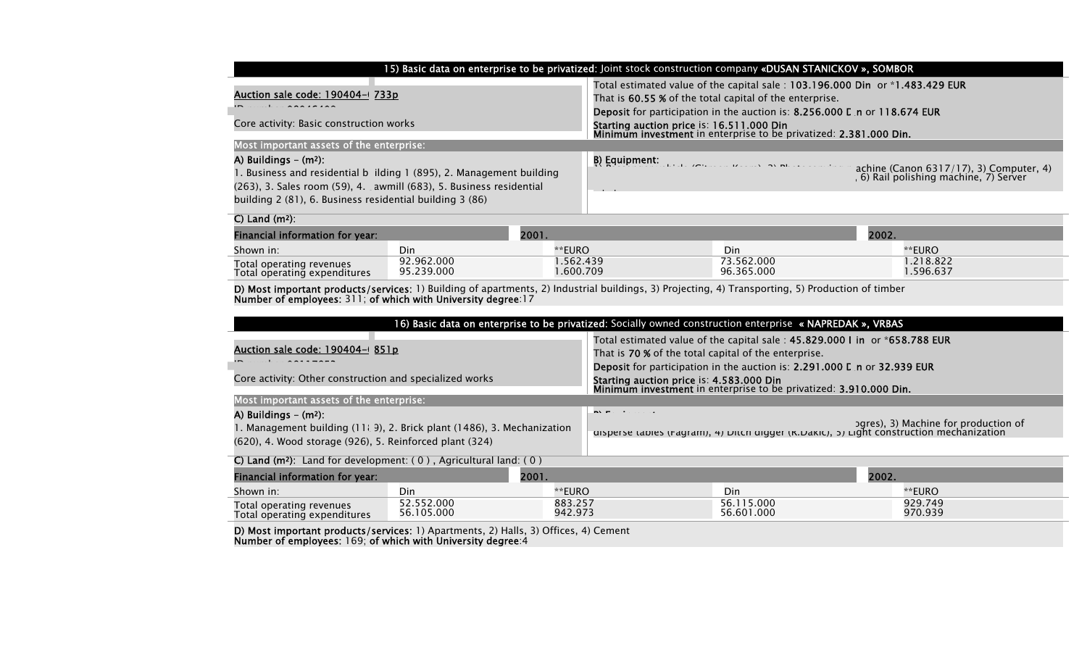| 15) Basic data on enterprise to be privatized: Joint stock construction company «DUSAN STANICKOV », SOMBOR                                                                                                                                              |                                                                                                                                                                                                                      |  |  |  |  |  |
|---------------------------------------------------------------------------------------------------------------------------------------------------------------------------------------------------------------------------------------------------------|----------------------------------------------------------------------------------------------------------------------------------------------------------------------------------------------------------------------|--|--|--|--|--|
| Auction sale code: 190404-(733p)                                                                                                                                                                                                                        | Total estimated value of the capital sale: 103.196.000 Din or *1.483.429 EUR<br>That is 60.55 % of the total capital of the enterprise.<br>Deposit for participation in the auction is: 8.256.000 L n or 118.674 EUR |  |  |  |  |  |
| Core activity: Basic construction works                                                                                                                                                                                                                 | Starting auction price is: 16.511.000 Din<br>Minimum investment in enterprise to be privatized: 2.381.000 Din.                                                                                                       |  |  |  |  |  |
| Most important assets of the enterprise:                                                                                                                                                                                                                |                                                                                                                                                                                                                      |  |  |  |  |  |
| A) Buildings $-$ (m <sup>2</sup> ):<br>I. Business and residential b ilding 1 (895), 2. Management building<br>$(263)$ , 3. Sales room $(59)$ , 4. awmill $(683)$ , 5. Business residential<br>building 2 (81), 6. Business residential building 3 (86) | achine (Canon 6317/17), 3) Computer, 4)<br>, 6) Rail polishing machine, 7) Server                                                                                                                                    |  |  |  |  |  |
| C) Land $(m2)$ :                                                                                                                                                                                                                                        |                                                                                                                                                                                                                      |  |  |  |  |  |

| $\sim$ , $\sim$ $\sim$ $\sim$ $\sim$ $\sim$<br>Financial information for year: |                          | 2001.                |                          | 2002.                |  |  |
|--------------------------------------------------------------------------------|--------------------------|----------------------|--------------------------|----------------------|--|--|
| Shown in:                                                                      | Din                      | **EURO               | Din                      | **EURO               |  |  |
| Total operating revenues<br>Total operating expenditures                       | 92.962.000<br>95.239.000 | .562.439<br>.600.709 | 73.562.000<br>96.365.000 | .218.822<br>.596.637 |  |  |

**D) Most important products/services:** 1) Building of apartments, 2) Industrial buildings, 3) Projecting, 4) Transporting, 5) Production of timber Number of employees: 311; of which with University degree:17

| 16) Basic data on enterprise to be privatized: Socially owned construction enterprise « NAPREDAK », VRBAS                                                                |                          |                    |                                                                                                                                                                                           |                          |       |                    |
|--------------------------------------------------------------------------------------------------------------------------------------------------------------------------|--------------------------|--------------------|-------------------------------------------------------------------------------------------------------------------------------------------------------------------------------------------|--------------------------|-------|--------------------|
| Auction sale code: 190404-0851p                                                                                                                                          |                          |                    | Total estimated value of the capital sale: 45.829.000 I in or *658.788 EUR<br>That is 70 % of the total capital of the enterprise.                                                        |                          |       |                    |
| Core activity: Other construction and specialized works                                                                                                                  |                          |                    | Deposit for participation in the auction is: 2.291.000 L n or 32.939 EUR<br>Starting auction price is: 4.583.000 Din<br>Minimum investment in enterprise to be privatized: 3.910.000 Din. |                          |       |                    |
| Most important assets of the enterprise:                                                                                                                                 |                          |                    |                                                                                                                                                                                           |                          |       |                    |
| A) Buildings $-$ (m <sup>2</sup> ):<br>1. Management building (11 g), 2. Brick plant (1486), 3. Mechanization<br>(620), 4. Wood storage (926), 5. Reinforced plant (324) |                          |                    | <b>BY Facturers</b> and<br>ogres), 3) Machine for production of<br>uisperse tables (ragram), 4) Ditch uigger (K.Dakic), 5) Light construction mechanization                               |                          |       |                    |
| C) Land ( $m^2$ ): Land for development: (0), Agricultural land: (0)                                                                                                     |                          |                    |                                                                                                                                                                                           |                          |       |                    |
| Financial information for year:                                                                                                                                          | 2001.                    |                    |                                                                                                                                                                                           |                          | 2002. |                    |
| Shown in:                                                                                                                                                                | Din                      | **EURO             |                                                                                                                                                                                           | Din                      |       | **EURO             |
| Total operating revenues<br>Total operating expenditures                                                                                                                 | 52.552.000<br>56.105.000 | 883.257<br>942.973 |                                                                                                                                                                                           | 56.115.000<br>56.601.000 |       | 929.749<br>970.939 |

D) Most important products/services: 1) Apartments, 2) Halls, 3) Offices, 4) Cement Number of employees: 169; of which with University degree:4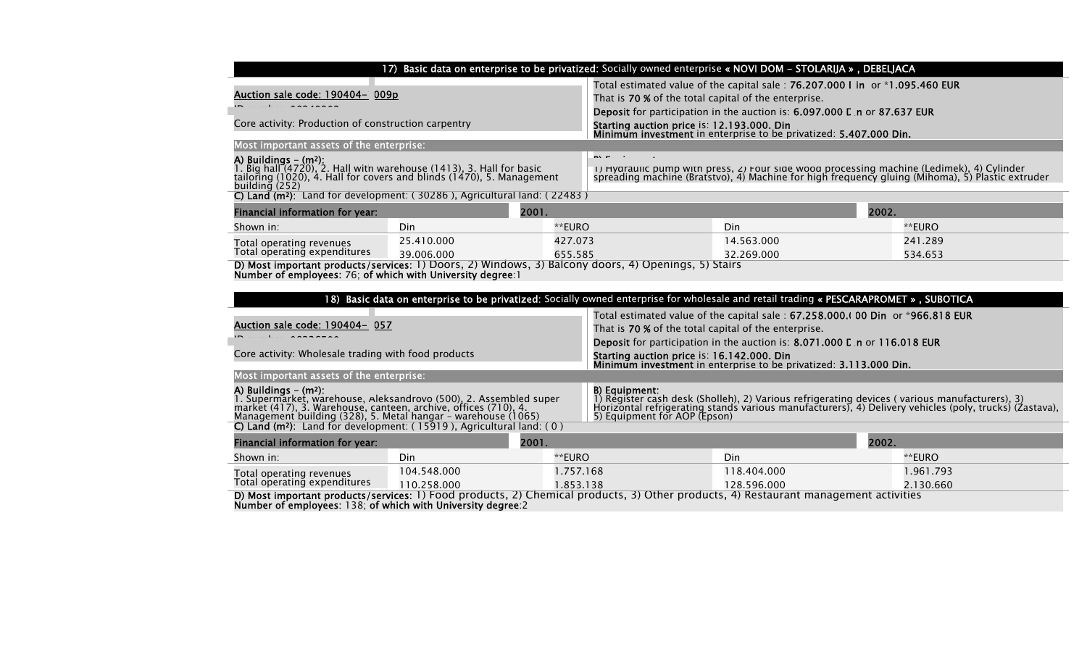|                                                                                                                                                                                                                                              | 17) Basic data on enterprise to be privatized: Socially owned enterprise « NOVI DOM - STOLARIJA », DEBELJACA                                       |           |                                                                                                                                                                                                                                                          |                                                                   |           |  |
|----------------------------------------------------------------------------------------------------------------------------------------------------------------------------------------------------------------------------------------------|----------------------------------------------------------------------------------------------------------------------------------------------------|-----------|----------------------------------------------------------------------------------------------------------------------------------------------------------------------------------------------------------------------------------------------------------|-------------------------------------------------------------------|-----------|--|
| Auction sale code: 190404- 009p                                                                                                                                                                                                              |                                                                                                                                                    |           | Total estimated value of the capital sale: 76.207.000 I in or *1.095.460 EUR<br>That is 70 % of the total capital of the enterprise.<br>Deposit for participation in the auction is: 6.097.000 L n or 87.637 EUR                                         |                                                                   |           |  |
| Core activity: Production of construction carpentry                                                                                                                                                                                          |                                                                                                                                                    |           | Starting auction price is: 12.193.000. Din                                                                                                                                                                                                               | Minimum investment in enterprise to be privatized: 5.407.000 Din. |           |  |
| Most important assets of the enterprise:                                                                                                                                                                                                     |                                                                                                                                                    |           |                                                                                                                                                                                                                                                          |                                                                   |           |  |
| A) Buildings - (m2):<br>1. Big hall (4720), 2. Hall with warehouse (1413), 3. Hall for basic<br>tailoring (1020), 4. Hall for covers and blinds (1470), 5. Management<br>building (252)                                                      |                                                                                                                                                    |           | $\mathbf{N}$ . Functionally states<br>(1) Hyaraulic pump with press, 2) Four side wood processing machine (Ledimek), 4) Cylinder<br>spreading machine (Bratstvo), 4) Machine for high frequency gluing (Mihoma), 5) Plastic extruder                     |                                                                   |           |  |
|                                                                                                                                                                                                                                              | C) Land ( $m^2$ ): Land for development: (30286), Agricultural land: (22483)                                                                       |           |                                                                                                                                                                                                                                                          |                                                                   |           |  |
| Financial information for year:                                                                                                                                                                                                              | 2001.                                                                                                                                              |           |                                                                                                                                                                                                                                                          |                                                                   | 2002.     |  |
| Shown in:                                                                                                                                                                                                                                    | Din                                                                                                                                                | **EURO    |                                                                                                                                                                                                                                                          | Din                                                               | **EURO    |  |
| Total operating revenues                                                                                                                                                                                                                     | 25.410.000                                                                                                                                         | 427.073   |                                                                                                                                                                                                                                                          | 14.563.000                                                        | 241.289   |  |
| Total operating expenditures                                                                                                                                                                                                                 | 39.006.000<br>D) Most important products/services: 1) Doors, 2) Windows, 3) Balcony doors, 4) Openings, 5) Stairs                                  | 655.585   |                                                                                                                                                                                                                                                          | 32.269.000                                                        | 534.653   |  |
| Number of employees: 76; of which with University degree: 1                                                                                                                                                                                  |                                                                                                                                                    |           |                                                                                                                                                                                                                                                          |                                                                   |           |  |
|                                                                                                                                                                                                                                              |                                                                                                                                                    |           |                                                                                                                                                                                                                                                          |                                                                   |           |  |
|                                                                                                                                                                                                                                              | 18) Basic data on enterprise to be privatized: Socially owned enterprise for wholesale and retail trading « PESCARAPROMET », SUBOTICA              |           |                                                                                                                                                                                                                                                          |                                                                   |           |  |
| Auction sale code: 190404- 057                                                                                                                                                                                                               |                                                                                                                                                    |           | Total estimated value of the capital sale: $67.258.000.1$ 00 Din or *966.818 EUR                                                                                                                                                                         |                                                                   |           |  |
|                                                                                                                                                                                                                                              |                                                                                                                                                    |           | That is 70 % of the total capital of the enterprise.<br>Deposit for participation in the auction is: 8.071.000 L n or 116.018 EUR                                                                                                                        |                                                                   |           |  |
| Core activity: Wholesale trading with food products                                                                                                                                                                                          |                                                                                                                                                    |           | Starting auction price is: 16.142.000. Din                                                                                                                                                                                                               |                                                                   |           |  |
|                                                                                                                                                                                                                                              |                                                                                                                                                    |           |                                                                                                                                                                                                                                                          | Minimum investment in enterprise to be privatized: 3.113.000 Din. |           |  |
| Most important assets of the enterprise:                                                                                                                                                                                                     |                                                                                                                                                    |           |                                                                                                                                                                                                                                                          |                                                                   |           |  |
| A) Buildings $-$ (m <sup>2</sup> ):<br>7. Supermarket, warehouse, Aleksandrovo (500), 2. Assembled super<br>market (417), 3. Warehouse, canteen, archive, offices (710), 4.<br>Management building (328), 5. Metal hangar – warehouse (1065) |                                                                                                                                                    |           | B) Equipment:<br>1) Register cash desk (Sholleh), 2) Various refrigerating devices (various manufacturers), 3)<br>Horizontal refrigerating stands various manufacturers), 4) Delivery vehicles (poly, trucks) (Zastava),<br>5) Equipment for AOP (Epson) |                                                                   |           |  |
|                                                                                                                                                                                                                                              | C) Land ( $m^2$ ): Land for development: (15919), Agricultural land: (0)                                                                           |           |                                                                                                                                                                                                                                                          |                                                                   |           |  |
| Financial information for year:                                                                                                                                                                                                              | 2001.                                                                                                                                              |           |                                                                                                                                                                                                                                                          |                                                                   | 2002.     |  |
| Shown in:                                                                                                                                                                                                                                    | Din                                                                                                                                                | **EURO    |                                                                                                                                                                                                                                                          | Din                                                               | **EURO    |  |
| Total operating revenues<br>Total operating expenditures                                                                                                                                                                                     | 104.548.000                                                                                                                                        | 1.757.168 |                                                                                                                                                                                                                                                          | 118.404.000                                                       | 1.961.793 |  |
|                                                                                                                                                                                                                                              | 110.258.000<br>D) Most important products/services: 1) Food products, 2) Chemical products, 3) Other products, 4) Restaurant management activities | 1.853.138 |                                                                                                                                                                                                                                                          | 128.596.000                                                       | 2.130.660 |  |
| Number of employees: 138; of which with University degree: 2                                                                                                                                                                                 |                                                                                                                                                    |           |                                                                                                                                                                                                                                                          |                                                                   |           |  |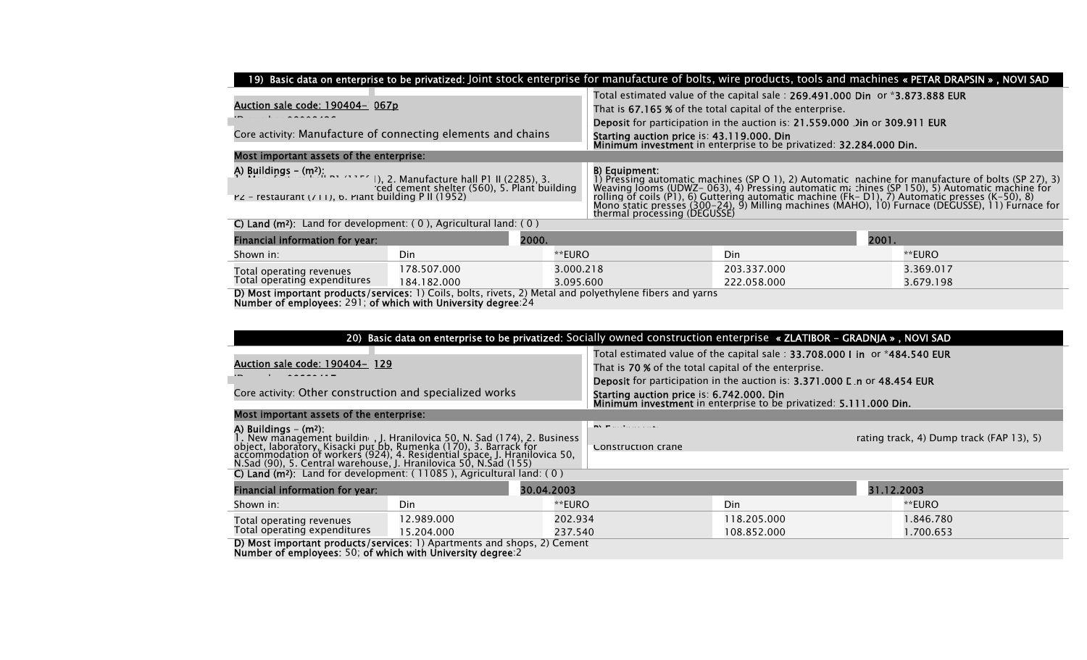|                                                                                                                                                                                            |             |                                                                                                                                          |                                                                                                                                                                                                                                                                                                                                                                                                                                                           |             |       | 19) Basic data on enterprise to be privatized: Joint stock enterprise for manufacture of bolts, wire products, tools and machines « PETAR DRAPSIN », NOVI SAD |
|--------------------------------------------------------------------------------------------------------------------------------------------------------------------------------------------|-------------|------------------------------------------------------------------------------------------------------------------------------------------|-----------------------------------------------------------------------------------------------------------------------------------------------------------------------------------------------------------------------------------------------------------------------------------------------------------------------------------------------------------------------------------------------------------------------------------------------------------|-------------|-------|---------------------------------------------------------------------------------------------------------------------------------------------------------------|
| Auction sale code: 190404- 067p                                                                                                                                                            |             | Total estimated value of the capital sale: 269.491.000 Din or *3.873.888 EUR<br>That is 67.165 % of the total capital of the enterprise. |                                                                                                                                                                                                                                                                                                                                                                                                                                                           |             |       |                                                                                                                                                               |
| Core activity: Manufacture of connecting elements and chains                                                                                                                               |             |                                                                                                                                          | <b>Deposit</b> for participation in the auction is: 21.559.000 Jin or 309.911 EUR<br>Starting auction price is: 43.119.000. Din<br>Minimum investment in enterprise to be privatized: 32.284.000 Din.                                                                                                                                                                                                                                                     |             |       |                                                                                                                                                               |
| Most important assets of the enterprise:                                                                                                                                                   |             |                                                                                                                                          |                                                                                                                                                                                                                                                                                                                                                                                                                                                           |             |       |                                                                                                                                                               |
| A) Buildings – (m²): $\sim$ $\cdots$ (), 2. Manufacture hall P1 II (2285), 3.<br>ced cement shelter (560), 5. Plant building<br>$PZ$ - restaurant ( $(11)$ , b. Plant building P II (1952) |             |                                                                                                                                          | B) Equipment:<br>1) Pressing automatic machines (SP O 1), 2) Automatic nachine for manufacture of bolts (SP 27), 3) Weaving Jooms (UDWZ- 063), 4) Pressing automatic m: :hines (SP 150), 5) Automatic machine for<br>rolling of coils (P1), 6) Guttering automatic machine (Fk - D1), 7) Automatic presses (K-50), 8)<br>Mono static presses (300–24), 9) Milling machines (MAHO), 10) Furnace (DEGUSSE), 11) Furnace for<br>thermal processing (DEGUSSÉ) |             |       |                                                                                                                                                               |
| C) Land ( $m^2$ ): Land for development: (0), Agricultural land: (0)                                                                                                                       |             |                                                                                                                                          |                                                                                                                                                                                                                                                                                                                                                                                                                                                           |             |       |                                                                                                                                                               |
| Financial information for year:                                                                                                                                                            | 2000.       |                                                                                                                                          |                                                                                                                                                                                                                                                                                                                                                                                                                                                           |             | 2001. |                                                                                                                                                               |
| Shown in:                                                                                                                                                                                  | Din         | **EURO                                                                                                                                   |                                                                                                                                                                                                                                                                                                                                                                                                                                                           | Din         |       | **EURO                                                                                                                                                        |
| Total operating revenues                                                                                                                                                                   | 178.507.000 | 3.000.218                                                                                                                                |                                                                                                                                                                                                                                                                                                                                                                                                                                                           | 203.337.000 |       | 3.369.017                                                                                                                                                     |
| Total operating expenditures<br>D). Maat bees sutant meadersta familiaan 1). Calle, balta, weeta. O). Matal and malendaria e filama and comes                                              | 184.182.000 | 3.095.600                                                                                                                                |                                                                                                                                                                                                                                                                                                                                                                                                                                                           | 222.058.000 |       | 3.679.198                                                                                                                                                     |

**D) Most important products/services:** 1) Coils, bolts, rivets, 2) Metal and polyethylene fibers and yarns Number of employees: 291; of which with University degree:24

|                                                                                                                                                                                                                                                                                                                                      | 20) Basic data on enterprise to be privatized: Socially owned construction enterprise « ZLATIBOR - GRADNJA », NOVI SAD |            |                                                                                                                                                                                                                |             |            |          |
|--------------------------------------------------------------------------------------------------------------------------------------------------------------------------------------------------------------------------------------------------------------------------------------------------------------------------------------|------------------------------------------------------------------------------------------------------------------------|------------|----------------------------------------------------------------------------------------------------------------------------------------------------------------------------------------------------------------|-------------|------------|----------|
| Auction sale code: 190404- 129                                                                                                                                                                                                                                                                                                       |                                                                                                                        |            | Total estimated value of the capital sale: 33.708.000 I in or *484.540 EUR<br>That is 70 % of the total capital of the enterprise.<br>Deposit for participation in the auction is: 3.371.000 L n or 48.454 EUR |             |            |          |
| Core activity: Other construction and specialized works                                                                                                                                                                                                                                                                              |                                                                                                                        |            | Starting auction price is: 6.742.000. Din<br>Minimum investment in enterprise to be privatized: 5.111.000 Din.                                                                                                 |             |            |          |
| Most important assets of the enterprise:                                                                                                                                                                                                                                                                                             |                                                                                                                        |            |                                                                                                                                                                                                                |             |            |          |
| A) Buildings $-$ (m <sup>2</sup> ):<br>1. New management building, J. Hranilovica 50, N. Sad (174), 2. Business<br>object, laboratory, Kisacki put bb, Rumenka (170), 3. Barrack for<br>accommodation of workers (924), 4. Residential space, J. Hranilovica 50,<br>N.Sad (90), 5. Central warehouse, J. Hranilovica 50, N.Sad (155) |                                                                                                                        |            | <b>INVESTIGATION</b><br>rating track, 4) Dump track (FAP 13), 5)<br>Construction crane                                                                                                                         |             |            |          |
| C) Land $(m^2)$ : Land for development: (11085), Agricultural land: (0)                                                                                                                                                                                                                                                              |                                                                                                                        |            |                                                                                                                                                                                                                |             |            |          |
| Financial information for year:                                                                                                                                                                                                                                                                                                      |                                                                                                                        | 30.04.2003 |                                                                                                                                                                                                                |             | 31.12.2003 |          |
| Shown in:                                                                                                                                                                                                                                                                                                                            | Din                                                                                                                    | **EURO     |                                                                                                                                                                                                                | Din         |            | **EURO   |
| Total operating revenues                                                                                                                                                                                                                                                                                                             | 12.989.000                                                                                                             | 202.934    |                                                                                                                                                                                                                | 118.205.000 |            | .846.780 |
| Total operating expenditures                                                                                                                                                                                                                                                                                                         | 15.204.000                                                                                                             | 237.540    |                                                                                                                                                                                                                | 108.852.000 |            | .700.653 |
| D) Most important products/services: 1) Apartments and shops, 2) Cement<br>Number of employees: 50; of which with University degree: 2                                                                                                                                                                                               |                                                                                                                        |            |                                                                                                                                                                                                                |             |            |          |